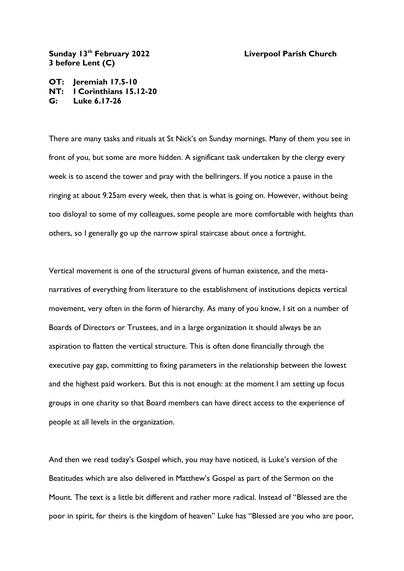**Liverpool Parish Church** 

## Sunday 13<sup>th</sup> February 2022 **3 before Lent (C)**

**OT: Jeremiah 17.5-10 NT: I Corinthians 15.12-20 G: Luke 6.17-26**

There are many tasks and rituals at St Nick's on Sunday mornings. Many of them you see in front of you, but some are more hidden. A significant task undertaken by the clergy every week is to ascend the tower and pray with the bellringers. If you notice a pause in the ringing at about 9.25am every week, then that is what is going on. However, without being too disloyal to some of my colleagues, some people are more comfortable with heights than others, so I generally go up the narrow spiral staircase about once a fortnight.

Vertical movement is one of the structural givens of human existence, and the metanarratives of everything from literature to the establishment of institutions depicts vertical movement, very often in the form of hierarchy. As many of you know, I sit on a number of Boards of Directors or Trustees, and in a large organization it should always be an aspiration to flatten the vertical structure. This is often done financially through the executive pay gap, committing to fixing parameters in the relationship between the lowest and the highest paid workers. But this is not enough: at the moment I am setting up focus groups in one charity so that Board members can have direct access to the experience of people at all levels in the organization.

And then we read today's Gospel which, you may have noticed, is Luke's version of the Beatitudes which are also delivered in Matthew's Gospel as part of the Sermon on the Mount. The text is a little bit different and rather more radical. Instead of "Blessed are the poor in spirit, for theirs is the kingdom of heaven" Luke has "Blessed are you who are poor,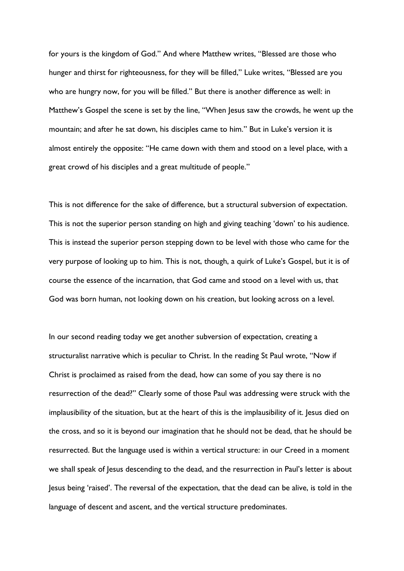for yours is the kingdom of God." And where Matthew writes, "Blessed are those who hunger and thirst for righteousness, for they will be filled," Luke writes, "Blessed are you who are hungry now, for you will be filled." But there is another difference as well: in Matthew's Gospel the scene is set by the line, "When Jesus saw the crowds, he went up the mountain; and after he sat down, his disciples came to him." But in Luke's version it is almost entirely the opposite: "He came down with them and stood on a level place, with a great crowd of his disciples and a great multitude of people."

This is not difference for the sake of difference, but a structural subversion of expectation. This is not the superior person standing on high and giving teaching 'down' to his audience. This is instead the superior person stepping down to be level with those who came for the very purpose of looking up to him. This is not, though, a quirk of Luke's Gospel, but it is of course the essence of the incarnation, that God came and stood on a level with us, that God was born human, not looking down on his creation, but looking across on a level.

In our second reading today we get another subversion of expectation, creating a structuralist narrative which is peculiar to Christ. In the reading St Paul wrote, "Now if Christ is proclaimed as raised from the dead, how can some of you say there is no resurrection of the dead?" Clearly some of those Paul was addressing were struck with the implausibility of the situation, but at the heart of this is the implausibility of it. Jesus died on the cross, and so it is beyond our imagination that he should not be dead, that he should be resurrected. But the language used is within a vertical structure: in our Creed in a moment we shall speak of Jesus descending to the dead, and the resurrection in Paul's letter is about Jesus being 'raised'. The reversal of the expectation, that the dead can be alive, is told in the language of descent and ascent, and the vertical structure predominates.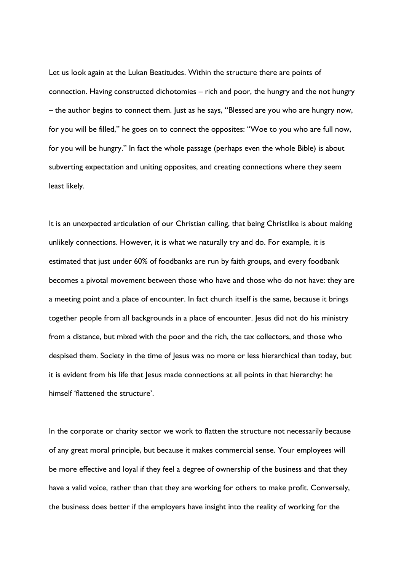Let us look again at the Lukan Beatitudes. Within the structure there are points of connection. Having constructed dichotomies – rich and poor, the hungry and the not hungry – the author begins to connect them. Just as he says, "Blessed are you who are hungry now, for you will be filled," he goes on to connect the opposites: "Woe to you who are full now, for you will be hungry." In fact the whole passage (perhaps even the whole Bible) is about subverting expectation and uniting opposites, and creating connections where they seem least likely.

It is an unexpected articulation of our Christian calling, that being Christlike is about making unlikely connections. However, it is what we naturally try and do. For example, it is estimated that just under 60% of foodbanks are run by faith groups, and every foodbank becomes a pivotal movement between those who have and those who do not have: they are a meeting point and a place of encounter. In fact church itself is the same, because it brings together people from all backgrounds in a place of encounter. Jesus did not do his ministry from a distance, but mixed with the poor and the rich, the tax collectors, and those who despised them. Society in the time of Jesus was no more or less hierarchical than today, but it is evident from his life that Jesus made connections at all points in that hierarchy: he himself 'flattened the structure'.

In the corporate or charity sector we work to flatten the structure not necessarily because of any great moral principle, but because it makes commercial sense. Your employees will be more effective and loyal if they feel a degree of ownership of the business and that they have a valid voice, rather than that they are working for others to make profit. Conversely, the business does better if the employers have insight into the reality of working for the